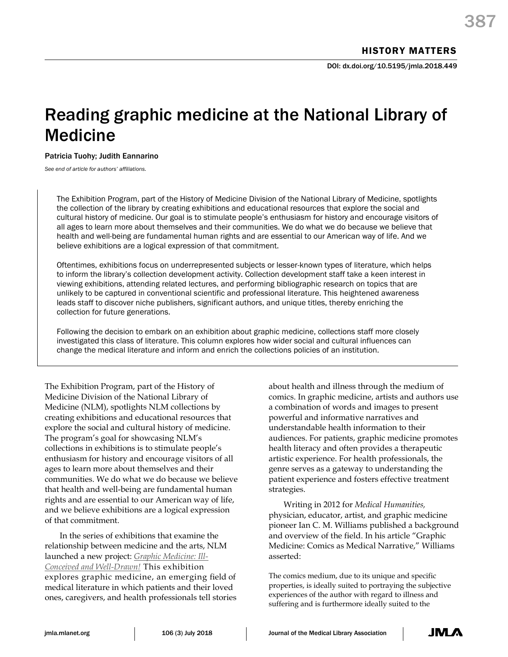# Reading graphic medicine at the National Library of Medicine

Patricia Tuohy; Judith Eannarino

*See end of article for authors' affiliations.*

The Exhibition Program, part of the History of Medicine Division of the National Library of Medicine, spotlights the collection of the library by creating exhibitions and educational resources that explore the social and cultural history of medicine. Our goal is to stimulate people's enthusiasm for history and encourage visitors of all ages to learn more about themselves and their communities. We do what we do because we believe that health and well-being are fundamental human rights and are essential to our American way of life. And we believe exhibitions are a logical expression of that commitment.

Oftentimes, exhibitions focus on underrepresented subjects or lesser-known types of literature, which helps to inform the library's collection development activity. Collection development staff take a keen interest in viewing exhibitions, attending related lectures, and performing bibliographic research on topics that are unlikely to be captured in conventional scientific and professional literature. This heightened awareness leads staff to discover niche publishers, significant authors, and unique titles, thereby enriching the collection for future generations.

Following the decision to embark on an exhibition about graphic medicine, collections staff more closely investigated this class of literature. This column explores how wider social and cultural influences can change the medical literature and inform and enrich the collections policies of an institution.

The Exhibition Program, part of the History of Medicine Division of the National Library of Medicine (NLM), spotlights NLM collections by creating exhibitions and educational resources that explore the social and cultural history of medicine. The program's goal for showcasing NLM's collections in exhibitions is to stimulate people's enthusiasm for history and encourage visitors of all ages to learn more about themselves and their communities. We do what we do because we believe that health and well-being are fundamental human rights and are essential to our American way of life, and we believe exhibitions are a logical expression of that commitment.

In the series of exhibitions that examine the relationship between medicine and the arts, NLM launched a new project: *[Graphic Medicine: Ill-](https://www.nlm.nih.gov/exhibition/graphicmedicine/index.html)[Conceived and Well-Drawn!](https://www.nlm.nih.gov/exhibition/graphicmedicine/index.html)* This exhibition explores graphic medicine, an emerging field of medical literature in which patients and their loved ones, caregivers, and health professionals tell stories

about health and illness through the medium of comics. In graphic medicine, artists and authors use a combination of words and images to present powerful and informative narratives and understandable health information to their audiences. For patients, graphic medicine promotes health literacy and often provides a therapeutic artistic experience. For health professionals, the genre serves as a gateway to understanding the patient experience and fosters effective treatment strategies.

Writing in 2012 for *Medical Humanities,*  physician, educator, artist, and graphic medicine pioneer Ian C. M. Williams published a background and overview of the field. In his article "Graphic Medicine: Comics as Medical Narrative," Williams asserted:

The comics medium, due to its unique and specific properties, is ideally suited to portraying the subjective experiences of the author with regard to illness and suffering and is furthermore ideally suited to the

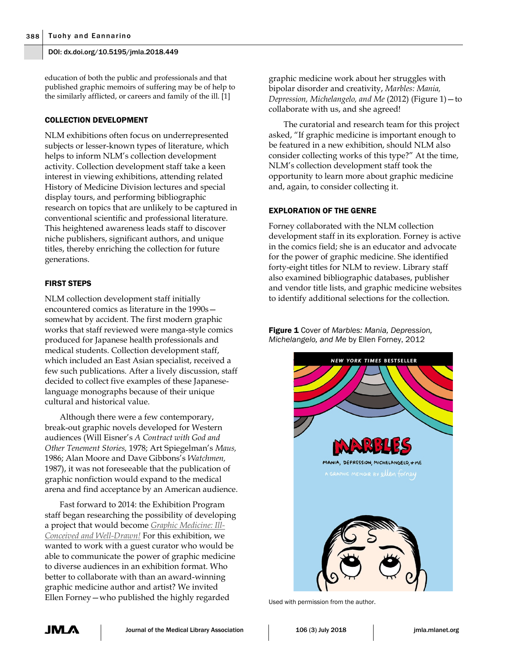education of both the public and professionals and that published graphic memoirs of suffering may be of help to the similarly afflicted, or careers and family of the ill. [1]

#### COLLECTION DEVELOPMENT

NLM exhibitions often focus on underrepresented subjects or lesser-known types of literature, which helps to inform NLM's collection development activity. Collection development staff take a keen interest in viewing exhibitions, attending related History of Medicine Division lectures and special display tours, and performing bibliographic research on topics that are unlikely to be captured in conventional scientific and professional literature. This heightened awareness leads staff to discover niche publishers, significant authors, and unique titles, thereby enriching the collection for future generations.

## FIRST STEPS

NLM collection development staff initially encountered comics as literature in the 1990s somewhat by accident. The first modern graphic works that staff reviewed were manga-style comics produced for Japanese health professionals and medical students. Collection development staff, which included an East Asian specialist, received a few such publications. After a lively discussion, staff decided to collect five examples of these Japaneselanguage monographs because of their unique cultural and historical value.

Although there were a few contemporary, break-out graphic novels developed for Western audiences (Will Eisner's *A Contract with God and Other Tenement Stories,* 1978; Art Spiegelman's *Maus,* 1986; Alan Moore and Dave Gibbons's *Watchmen,* 1987), it was not foreseeable that the publication of graphic nonfiction would expand to the medical arena and find acceptance by an American audience.

Fast forward to 2014: the Exhibition Program staff began researching the possibility of developing a project that would become *[Graphic Medicine: Ill-](https://www.nlm.nih.gov/exhibition/graphicmedicine/index.html)[Conceived and Well-Drawn!](https://www.nlm.nih.gov/exhibition/graphicmedicine/index.html)* For this exhibition, we wanted to work with a guest curator who would be able to communicate the power of graphic medicine to diverse audiences in an exhibition format. Who better to collaborate with than an award-winning graphic medicine author and artist? We invited Ellen Forney—who published the highly regarded

graphic medicine work about her struggles with bipolar disorder and creativity, *Marbles: Mania, Depression, Michelangelo, and Me* (2012) (Figure 1)—to collaborate with us, and she agreed!

The curatorial and research team for this project asked, "If graphic medicine is important enough to be featured in a new exhibition, should NLM also consider collecting works of this type?" At the time, NLM's collection development staff took the opportunity to learn more about graphic medicine and, again, to consider collecting it.

## EXPLORATION OF THE GENRE

Forney collaborated with the NLM collection development staff in its exploration. Forney is active in the comics field; she is an educator and advocate for the power of graphic medicine. She identified forty-eight titles for NLM to review. Library staff also examined bibliographic databases, publisher and vendor title lists, and graphic medicine websites to identify additional selections for the collection.

Figure 1 Cover of *Marbles: Mania, Depression, Michelangelo, and Me* by Ellen Forney, 2012



Used with permission from the author.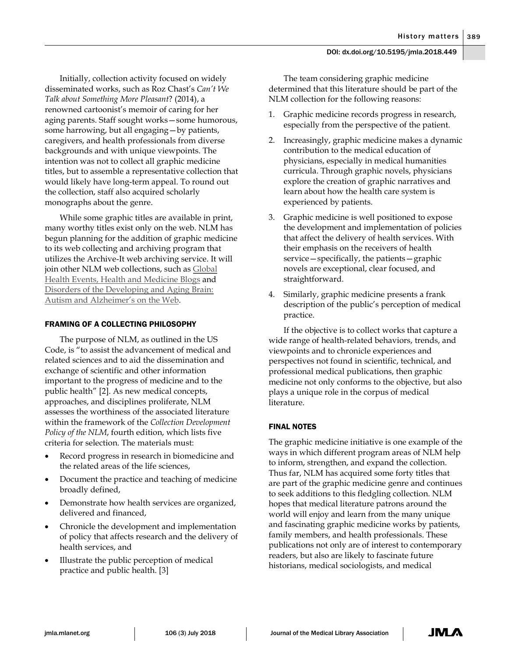Initially, collection activity focused on widely disseminated works, such as Roz Chast's *Can't We Talk about Something More Pleasant*? (2014), a renowned cartoonist's memoir of caring for her aging parents. Staff sought works—some humorous, some harrowing, but all engaging—by patients, caregivers, and health professionals from diverse backgrounds and with unique viewpoints. The intention was not to collect all graphic medicine titles, but to assemble a representative collection that would likely have long-term appeal. To round out the collection, staff also acquired scholarly monographs about the genre.

While some graphic titles are available in print, many worthy titles exist only on the web. NLM has begun planning for the addition of graphic medicine to its web collecting and archiving program that utilizes the Archive-It web archiving service. It will join other NLM web collections, such a[s Global](https://archive-it.org/collections/4887)  [Health Events,](https://archive-it.org/collections/4887) [Health and Medicine Blogs](https://archive-it.org/collections/2722) and [Disorders of the Developing and Aging Brain:](https://archive-it.org/collections/4254)  [Autism and Alzheimer's on the Web.](https://archive-it.org/collections/4254)

# FRAMING OF A COLLECTING PHILOSOPHY

The purpose of NLM, as outlined in the US Code, is "to assist the advancement of medical and related sciences and to aid the dissemination and exchange of scientific and other information important to the progress of medicine and to the public health" [2]. As new medical concepts, approaches, and disciplines proliferate, NLM assesses the worthiness of the associated literature within the framework of the *Collection Development Policy of the NLM*, fourth edition, which lists five criteria for selection. The materials must:

- Record progress in research in biomedicine and the related areas of the life sciences,
- Document the practice and teaching of medicine broadly defined,
- Demonstrate how health services are organized, delivered and financed,
- Chronicle the development and implementation of policy that affects research and the delivery of health services, and
- Illustrate the public perception of medical practice and public health. [3]

The team considering graphic medicine determined that this literature should be part of the NLM collection for the following reasons:

- 1. Graphic medicine records progress in research, especially from the perspective of the patient.
- 2. Increasingly, graphic medicine makes a dynamic contribution to the medical education of physicians, especially in medical humanities curricula. Through graphic novels, physicians explore the creation of graphic narratives and learn about how the health care system is experienced by patients.
- 3. Graphic medicine is well positioned to expose the development and implementation of policies that affect the delivery of health services. With their emphasis on the receivers of health service—specifically, the patients—graphic novels are exceptional, clear focused, and straightforward.
- 4. Similarly, graphic medicine presents a frank description of the public's perception of medical practice.

If the objective is to collect works that capture a wide range of health-related behaviors, trends, and viewpoints and to chronicle experiences and perspectives not found in scientific, technical, and professional medical publications, then graphic medicine not only conforms to the objective, but also plays a unique role in the corpus of medical literature.

# FINAL NOTES

The graphic medicine initiative is one example of the ways in which different program areas of NLM help to inform, strengthen, and expand the collection. Thus far, NLM has acquired some forty titles that are part of the graphic medicine genre and continues to seek additions to this fledgling collection. NLM hopes that medical literature patrons around the world will enjoy and learn from the many unique and fascinating graphic medicine works by patients, family members, and health professionals. These publications not only are of interest to contemporary readers, but also are likely to fascinate future historians, medical sociologists, and medical